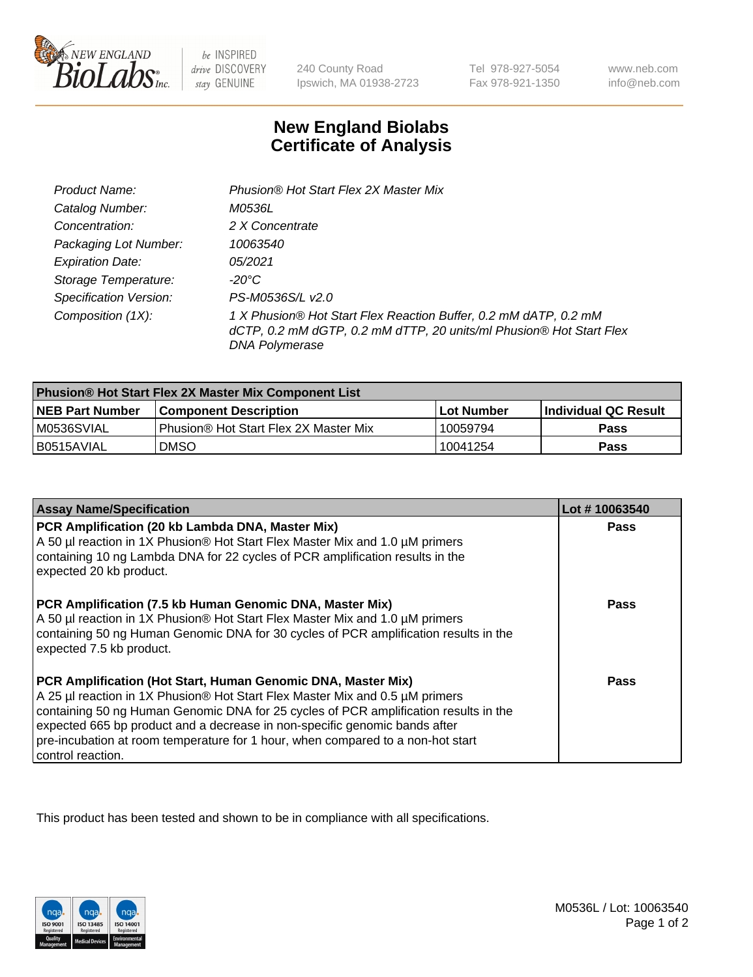

be INSPIRED drive DISCOVERY stay GENUINE

240 County Road Ipswich, MA 01938-2723

Tel 978-927-5054 Fax 978-921-1350

www.neb.com info@neb.com

## **New England Biolabs Certificate of Analysis**

| Product Name:                 | Phusion® Hot Start Flex 2X Master Mix                                                                                                                     |
|-------------------------------|-----------------------------------------------------------------------------------------------------------------------------------------------------------|
| Catalog Number:               | M0536L                                                                                                                                                    |
| Concentration:                | 2 X Concentrate                                                                                                                                           |
| Packaging Lot Number:         | 10063540                                                                                                                                                  |
| <b>Expiration Date:</b>       | 05/2021                                                                                                                                                   |
| Storage Temperature:          | -20°C                                                                                                                                                     |
| <b>Specification Version:</b> | PS-M0536S/L v2.0                                                                                                                                          |
| Composition (1X):             | 1 X Phusion® Hot Start Flex Reaction Buffer, 0.2 mM dATP, 0.2 mM<br>dCTP, 0.2 mM dGTP, 0.2 mM dTTP, 20 units/ml Phusion® Hot Start Flex<br>DNA Polymerase |

| Phusion® Hot Start Flex 2X Master Mix Component List |                                       |              |                             |  |
|------------------------------------------------------|---------------------------------------|--------------|-----------------------------|--|
| <b>NEB Part Number</b>                               | <b>Component Description</b>          | l Lot Number | <b>Individual QC Result</b> |  |
| IM0536SVIAL                                          | Phusion® Hot Start Flex 2X Master Mix | 10059794     | <b>Pass</b>                 |  |
| I B0515AVIAL                                         | <b>DMSO</b>                           | 10041254     | <b>Pass</b>                 |  |

| <b>Assay Name/Specification</b>                                                                                                                                                                                                                                                                                                                                                                                            | Lot #10063540 |
|----------------------------------------------------------------------------------------------------------------------------------------------------------------------------------------------------------------------------------------------------------------------------------------------------------------------------------------------------------------------------------------------------------------------------|---------------|
| PCR Amplification (20 kb Lambda DNA, Master Mix)<br>A 50 µl reaction in 1X Phusion® Hot Start Flex Master Mix and 1.0 µM primers<br>containing 10 ng Lambda DNA for 22 cycles of PCR amplification results in the<br>expected 20 kb product.                                                                                                                                                                               | Pass          |
| PCR Amplification (7.5 kb Human Genomic DNA, Master Mix)<br>A 50 µl reaction in 1X Phusion® Hot Start Flex Master Mix and 1.0 µM primers<br>containing 50 ng Human Genomic DNA for 30 cycles of PCR amplification results in the<br>expected 7.5 kb product.                                                                                                                                                               | Pass          |
| PCR Amplification (Hot Start, Human Genomic DNA, Master Mix)<br>A 25 µl reaction in 1X Phusion® Hot Start Flex Master Mix and 0.5 µM primers<br>containing 50 ng Human Genomic DNA for 25 cycles of PCR amplification results in the<br>expected 665 bp product and a decrease in non-specific genomic bands after<br>pre-incubation at room temperature for 1 hour, when compared to a non-hot start<br>control reaction. | <b>Pass</b>   |

This product has been tested and shown to be in compliance with all specifications.